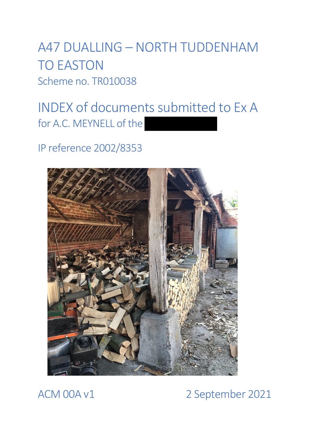A47 DUALLING – NORTH TUDDENHAM TO EASTON Scheme no. TR010038

# INDEX of documents submitted to Ex A for A.C. MEYNELL of the

IP reference 2002/8353



### ACM 00A v1 2 September 2021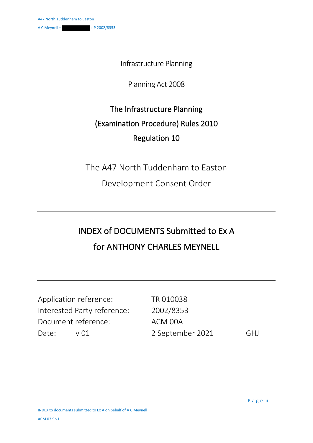Infrastructure Planning

Planning Act 2008

#### The Infrastructure Planning (Examination Procedure) Rules 2010 Regulation 10

The A47 North Tuddenham to Easton

Development Consent Order

## INDEX of DOCUMENTS Submitted to Ex A for ANTHONY CHARLES MEYNELL

|                             | Application reference: | TR 010038        |            |
|-----------------------------|------------------------|------------------|------------|
| Interested Party reference: |                        | 2002/8353        |            |
| Document reference:         |                        | ACM 00A          |            |
| Date:                       | $\vee$ $\cap$ 1        | 2 September 2021 | <b>GHI</b> |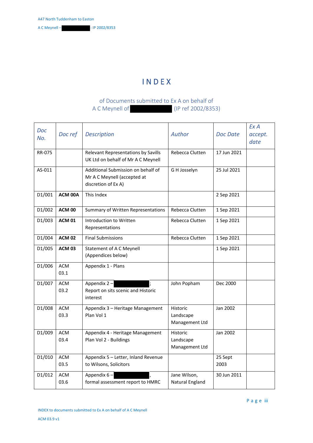A C Meynell –  $\cdot$  IP 2002/8353

#### I N D E X

#### of Documents submitted to Ex A on behalf of A C Meynell of (IP ref 2002/8353)

| <b>Doc</b><br>No. | Doc ref            | <b>Description</b>                                                                       | Author                                  | <b>Doc Date</b> | ExA<br>accept.<br>date |
|-------------------|--------------------|------------------------------------------------------------------------------------------|-----------------------------------------|-----------------|------------------------|
| <b>RR-075</b>     |                    | Relevant Representations by Savills<br>UK Ltd on behalf of Mr A C Meynell                | Rebecca Clutten                         | 17 Jun 2021     |                        |
| AS-011            |                    | Additional Submission on behalf of<br>Mr A C Meynell (accepted at<br>discretion of Ex A) | G H Josselyn                            | 25 Jul 2021     |                        |
| D1/001            | ACM 00A            | This Index                                                                               |                                         | 2 Sep 2021      |                        |
| D1/002            | <b>ACM 00</b>      | Summary of Written Representations                                                       | Rebecca Clutten                         | 1 Sep 2021      |                        |
| D1/003            | <b>ACM 01</b>      | Introduction to Written<br>Representations                                               | Rebecca Clutten                         | 1 Sep 2021      |                        |
| D1/004            | <b>ACM 02</b>      | <b>Final Submissions</b>                                                                 | Rebecca Clutten                         | 1 Sep 2021      |                        |
| D1/005            | <b>ACM 03</b>      | Statement of A C Meynell<br>(Appendices below)                                           |                                         | 1 Sep 2021      |                        |
| D1/006            | <b>ACM</b><br>03.1 | Appendix 1 - Plans                                                                       |                                         |                 |                        |
| D1/007            | <b>ACM</b><br>03.2 | Appendix $2 -$<br>Report on sits scenic and Historic<br>interest                         | John Popham                             | Dec 2000        |                        |
| D1/008            | <b>ACM</b><br>03.3 | Appendix 3 - Heritage Management<br>Plan Vol 1                                           | Historic<br>Landscape<br>Management Ltd | Jan 2002        |                        |
| D1/009            | <b>ACM</b><br>03.4 | Appendix 4 - Heritage Management<br>Plan Vol 2 - Buildings                               | Historic<br>Landscape<br>Management Ltd | Jan 2002        |                        |
| D1/010            | <b>ACM</b><br>03.5 | Appendix 5 - Letter, Inland Revenue<br>to Wilsons, Solicitors                            |                                         | 25 Sept<br>2003 |                        |
| D1/012            | <b>ACM</b><br>03.6 | Appendix 6-<br>formal assessment report to HMRC                                          | Jane Wilson,<br>Natural England         | 30 Jun 2011     |                        |

Page iii